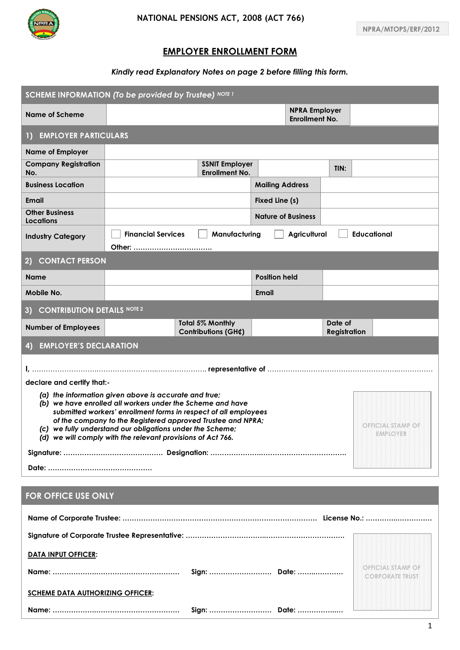

## **EMPLOYER ENROLLMENT FORM**

## *Kindly read Explanatory Notes on page 2 before filling this form.*

| SCHEME INFORMATION (To be provided by Trustee) NOTE I                                                                                                                                                                                                                                                                                                                                                                     |                                                                                  |                                |  |      |  |  |  |  |
|---------------------------------------------------------------------------------------------------------------------------------------------------------------------------------------------------------------------------------------------------------------------------------------------------------------------------------------------------------------------------------------------------------------------------|----------------------------------------------------------------------------------|--------------------------------|--|------|--|--|--|--|
| <b>Name of Scheme</b>                                                                                                                                                                                                                                                                                                                                                                                                     | <b>NPRA Employer</b><br><b>Enrollment No.</b>                                    |                                |  |      |  |  |  |  |
| <b>EMPLOYER PARTICULARS</b><br>$\Box$                                                                                                                                                                                                                                                                                                                                                                                     |                                                                                  |                                |  |      |  |  |  |  |
| <b>Name of Employer</b>                                                                                                                                                                                                                                                                                                                                                                                                   |                                                                                  |                                |  |      |  |  |  |  |
| <b>Company Registration</b><br>No.                                                                                                                                                                                                                                                                                                                                                                                        | <b>SSNIT Employer</b><br><b>Enrollment No.</b>                                   |                                |  | TIN: |  |  |  |  |
| <b>Business Location</b>                                                                                                                                                                                                                                                                                                                                                                                                  |                                                                                  | <b>Mailing Address</b>         |  |      |  |  |  |  |
| <b>Email</b>                                                                                                                                                                                                                                                                                                                                                                                                              |                                                                                  | Fixed Line (s)                 |  |      |  |  |  |  |
| <b>Other Business</b><br>Locations                                                                                                                                                                                                                                                                                                                                                                                        |                                                                                  | <b>Nature of Business</b>      |  |      |  |  |  |  |
| <b>Industry Category</b>                                                                                                                                                                                                                                                                                                                                                                                                  | <b>Financial Services</b><br>Manufacturing<br>Agricultural<br><b>Educational</b> |                                |  |      |  |  |  |  |
| <b>CONTACT PERSON</b><br>$\bf{2)}$                                                                                                                                                                                                                                                                                                                                                                                        |                                                                                  |                                |  |      |  |  |  |  |
| <b>Name</b>                                                                                                                                                                                                                                                                                                                                                                                                               |                                                                                  | <b>Position held</b>           |  |      |  |  |  |  |
| Mobile No.                                                                                                                                                                                                                                                                                                                                                                                                                |                                                                                  | Email                          |  |      |  |  |  |  |
| <b>CONTRIBUTION DETAILS NOTE 2</b><br>3)                                                                                                                                                                                                                                                                                                                                                                                  |                                                                                  |                                |  |      |  |  |  |  |
| <b>Number of Employees</b>                                                                                                                                                                                                                                                                                                                                                                                                | <b>Total 5% Monthly</b><br><b>Contributions (GH¢)</b>                            | Date of<br><b>Registration</b> |  |      |  |  |  |  |
| <b>EMPLOYER'S DECLARATION</b><br>4)                                                                                                                                                                                                                                                                                                                                                                                       |                                                                                  |                                |  |      |  |  |  |  |
|                                                                                                                                                                                                                                                                                                                                                                                                                           |                                                                                  |                                |  |      |  |  |  |  |
| declare and certify that:-                                                                                                                                                                                                                                                                                                                                                                                                |                                                                                  |                                |  |      |  |  |  |  |
| (a) the information given above is accurate and true;<br>(b) we have enrolled all workers under the Scheme and have<br>submitted workers' enrollment forms in respect of all employees<br>of the company to the Registered approved Trustee and NPRA;<br><b>OFFICIAL STAMP OF</b><br>(c) we fully understand our obligations under the Scheme;<br>EMPLOYER<br>(d) we will comply with the relevant provisions of Act 766. |                                                                                  |                                |  |      |  |  |  |  |
|                                                                                                                                                                                                                                                                                                                                                                                                                           |                                                                                  |                                |  |      |  |  |  |  |
|                                                                                                                                                                                                                                                                                                                                                                                                                           |                                                                                  |                                |  |      |  |  |  |  |

## **FOR OFFICE USE ONLY**

| <b>DATA INPUT OFFICER:</b>              |              |  |                                             |
|-----------------------------------------|--------------|--|---------------------------------------------|
|                                         |              |  | OFFICIAL STAMP OF<br><b>CORPORATE TRUST</b> |
| <b>SCHEME DATA AUTHORIZING OFFICER:</b> |              |  |                                             |
|                                         | Sign:  Date: |  |                                             |